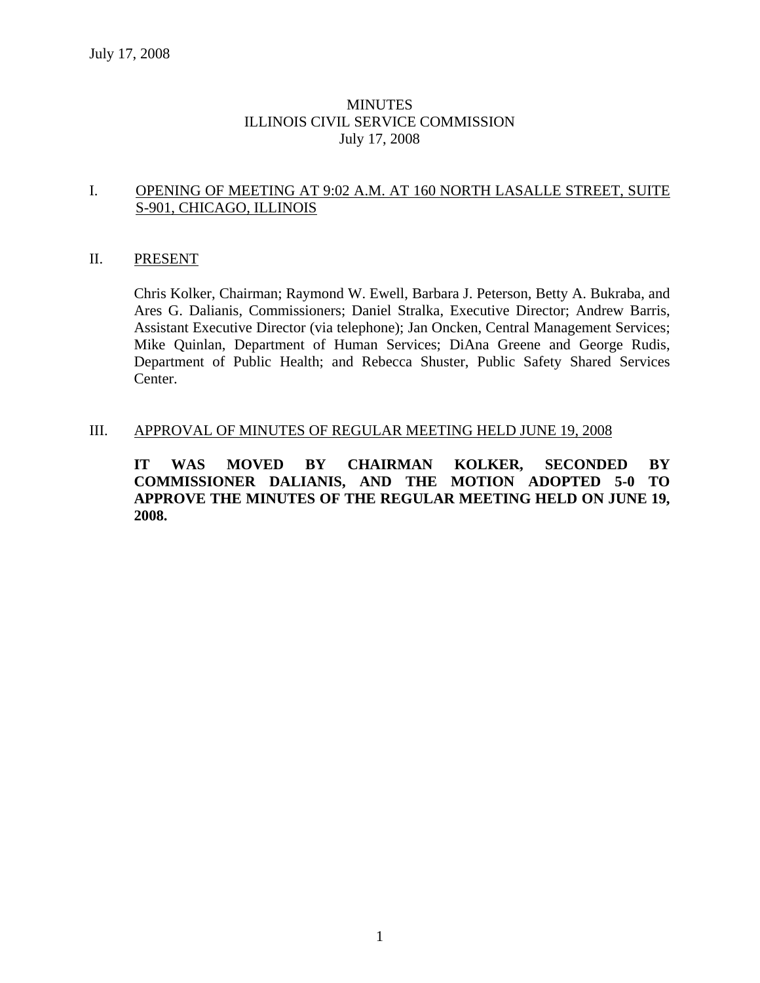# **MINUTES** ILLINOIS CIVIL SERVICE COMMISSION July 17, 2008

#### I. OPENING OF MEETING AT 9:02 A.M. AT 160 NORTH LASALLE STREET, SUITE S-901, CHICAGO, ILLINOIS

#### II. PRESENT

Chris Kolker, Chairman; Raymond W. Ewell, Barbara J. Peterson, Betty A. Bukraba, and Ares G. Dalianis, Commissioners; Daniel Stralka, Executive Director; Andrew Barris, Assistant Executive Director (via telephone); Jan Oncken, Central Management Services; Mike Quinlan, Department of Human Services; DiAna Greene and George Rudis, Department of Public Health; and Rebecca Shuster, Public Safety Shared Services Center.

#### III. APPROVAL OF MINUTES OF REGULAR MEETING HELD JUNE 19, 2008

**IT WAS MOVED BY CHAIRMAN KOLKER, SECONDED BY COMMISSIONER DALIANIS, AND THE MOTION ADOPTED 5-0 TO APPROVE THE MINUTES OF THE REGULAR MEETING HELD ON JUNE 19, 2008.**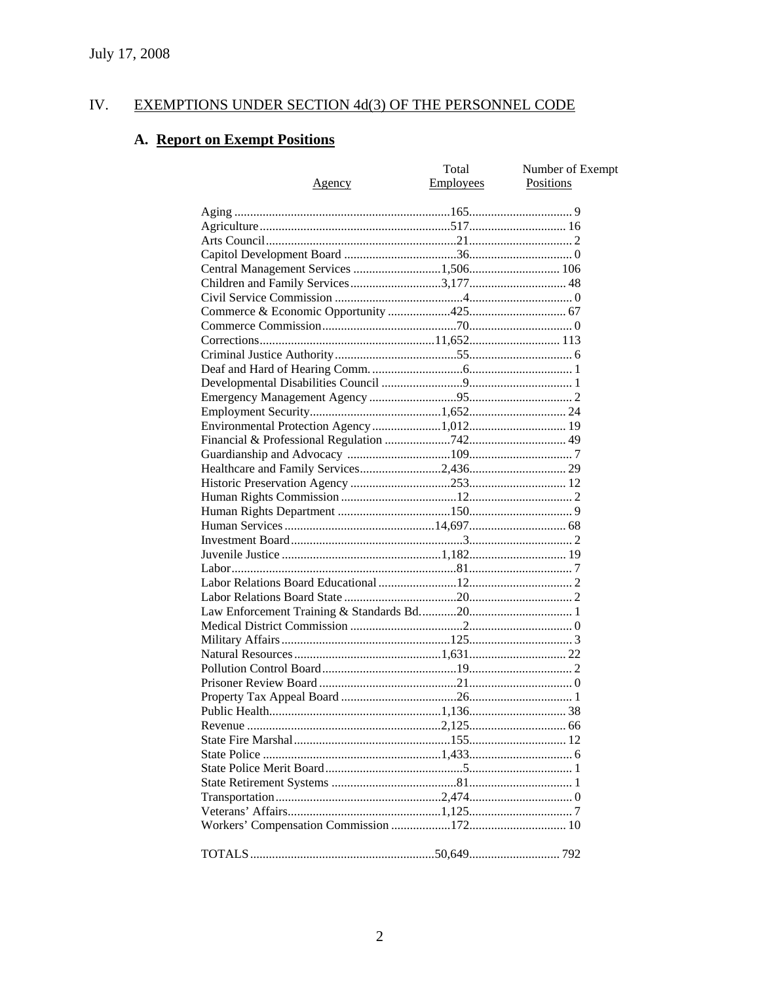#### IV. **EXEMPTIONS UNDER SECTION 4d(3) OF THE PERSONNEL CODE**

# A. Report on Exempt Positions

| <u>Agency</u>                         | Total<br><b>Employees</b> | Number of Exempt<br><b>Positions</b> |
|---------------------------------------|---------------------------|--------------------------------------|
|                                       |                           |                                      |
|                                       |                           |                                      |
|                                       |                           |                                      |
|                                       |                           |                                      |
| Central Management Services 1,506 106 |                           |                                      |
|                                       |                           |                                      |
|                                       |                           |                                      |
|                                       |                           |                                      |
|                                       |                           |                                      |
|                                       |                           |                                      |
|                                       |                           |                                      |
|                                       |                           |                                      |
|                                       |                           |                                      |
|                                       |                           |                                      |
|                                       |                           |                                      |
|                                       |                           |                                      |
|                                       |                           |                                      |
|                                       |                           |                                      |
|                                       |                           |                                      |
|                                       |                           |                                      |
|                                       |                           |                                      |
|                                       |                           |                                      |
|                                       |                           |                                      |
|                                       |                           |                                      |
|                                       |                           |                                      |
|                                       |                           |                                      |
|                                       |                           |                                      |
|                                       |                           |                                      |
|                                       |                           |                                      |
|                                       |                           |                                      |
|                                       |                           |                                      |
|                                       |                           |                                      |
|                                       |                           |                                      |
|                                       |                           |                                      |
|                                       |                           |                                      |
|                                       |                           |                                      |
|                                       |                           |                                      |
|                                       |                           |                                      |
|                                       |                           |                                      |
|                                       |                           |                                      |
|                                       |                           |                                      |
|                                       |                           |                                      |
|                                       |                           |                                      |
|                                       |                           |                                      |
|                                       |                           |                                      |
|                                       |                           |                                      |
|                                       |                           |                                      |
|                                       |                           |                                      |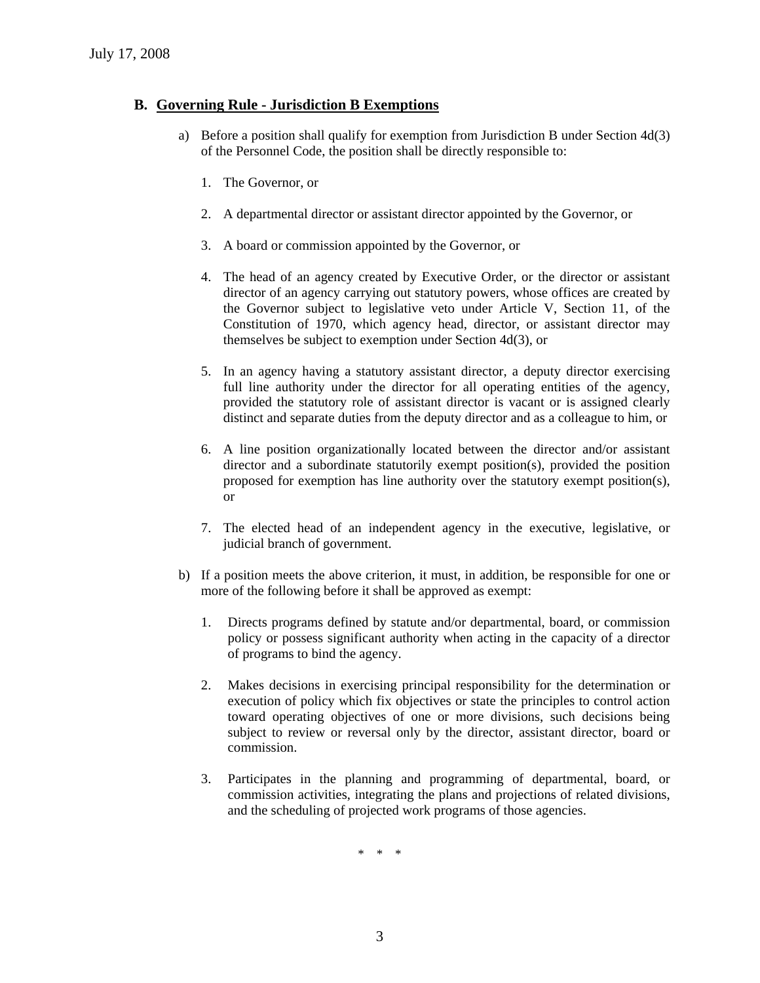#### **B. Governing Rule - Jurisdiction B Exemptions**

- a) Before a position shall qualify for exemption from Jurisdiction B under Section 4d(3) of the Personnel Code, the position shall be directly responsible to:
	- 1. The Governor, or
	- 2. A departmental director or assistant director appointed by the Governor, or
	- 3. A board or commission appointed by the Governor, or
	- 4. The head of an agency created by Executive Order, or the director or assistant director of an agency carrying out statutory powers, whose offices are created by the Governor subject to legislative veto under Article V, Section 11, of the Constitution of 1970, which agency head, director, or assistant director may themselves be subject to exemption under Section 4d(3), or
	- 5. In an agency having a statutory assistant director, a deputy director exercising full line authority under the director for all operating entities of the agency, provided the statutory role of assistant director is vacant or is assigned clearly distinct and separate duties from the deputy director and as a colleague to him, or
	- 6. A line position organizationally located between the director and/or assistant director and a subordinate statutorily exempt position(s), provided the position proposed for exemption has line authority over the statutory exempt position(s), or
	- 7. The elected head of an independent agency in the executive, legislative, or judicial branch of government.
- b) If a position meets the above criterion, it must, in addition, be responsible for one or more of the following before it shall be approved as exempt:
	- 1. Directs programs defined by statute and/or departmental, board, or commission policy or possess significant authority when acting in the capacity of a director of programs to bind the agency.
	- 2. Makes decisions in exercising principal responsibility for the determination or execution of policy which fix objectives or state the principles to control action toward operating objectives of one or more divisions, such decisions being subject to review or reversal only by the director, assistant director, board or commission.
	- 3. Participates in the planning and programming of departmental, board, or commission activities, integrating the plans and projections of related divisions, and the scheduling of projected work programs of those agencies.

\* \* \*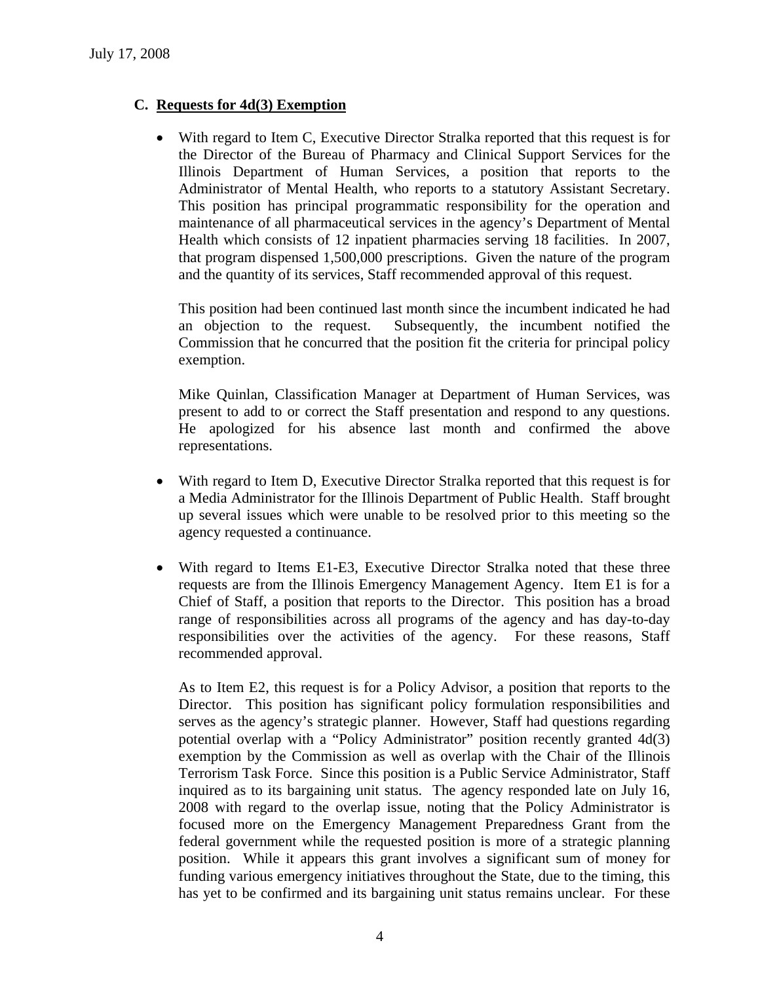# **C. Requests for 4d(3) Exemption**

• With regard to Item C, Executive Director Stralka reported that this request is for the Director of the Bureau of Pharmacy and Clinical Support Services for the Illinois Department of Human Services, a position that reports to the Administrator of Mental Health, who reports to a statutory Assistant Secretary. This position has principal programmatic responsibility for the operation and maintenance of all pharmaceutical services in the agency's Department of Mental Health which consists of 12 inpatient pharmacies serving 18 facilities. In 2007, that program dispensed 1,500,000 prescriptions. Given the nature of the program and the quantity of its services, Staff recommended approval of this request.

This position had been continued last month since the incumbent indicated he had an objection to the request. Subsequently, the incumbent notified the Commission that he concurred that the position fit the criteria for principal policy exemption.

Mike Quinlan, Classification Manager at Department of Human Services, was present to add to or correct the Staff presentation and respond to any questions. He apologized for his absence last month and confirmed the above representations.

- With regard to Item D, Executive Director Stralka reported that this request is for a Media Administrator for the Illinois Department of Public Health. Staff brought up several issues which were unable to be resolved prior to this meeting so the agency requested a continuance.
- With regard to Items E1-E3, Executive Director Stralka noted that these three requests are from the Illinois Emergency Management Agency. Item E1 is for a Chief of Staff, a position that reports to the Director. This position has a broad range of responsibilities across all programs of the agency and has day-to-day responsibilities over the activities of the agency. For these reasons, Staff recommended approval.

As to Item E2, this request is for a Policy Advisor, a position that reports to the Director. This position has significant policy formulation responsibilities and serves as the agency's strategic planner. However, Staff had questions regarding potential overlap with a "Policy Administrator" position recently granted 4d(3) exemption by the Commission as well as overlap with the Chair of the Illinois Terrorism Task Force. Since this position is a Public Service Administrator, Staff inquired as to its bargaining unit status. The agency responded late on July 16, 2008 with regard to the overlap issue, noting that the Policy Administrator is focused more on the Emergency Management Preparedness Grant from the federal government while the requested position is more of a strategic planning position. While it appears this grant involves a significant sum of money for funding various emergency initiatives throughout the State, due to the timing, this has yet to be confirmed and its bargaining unit status remains unclear. For these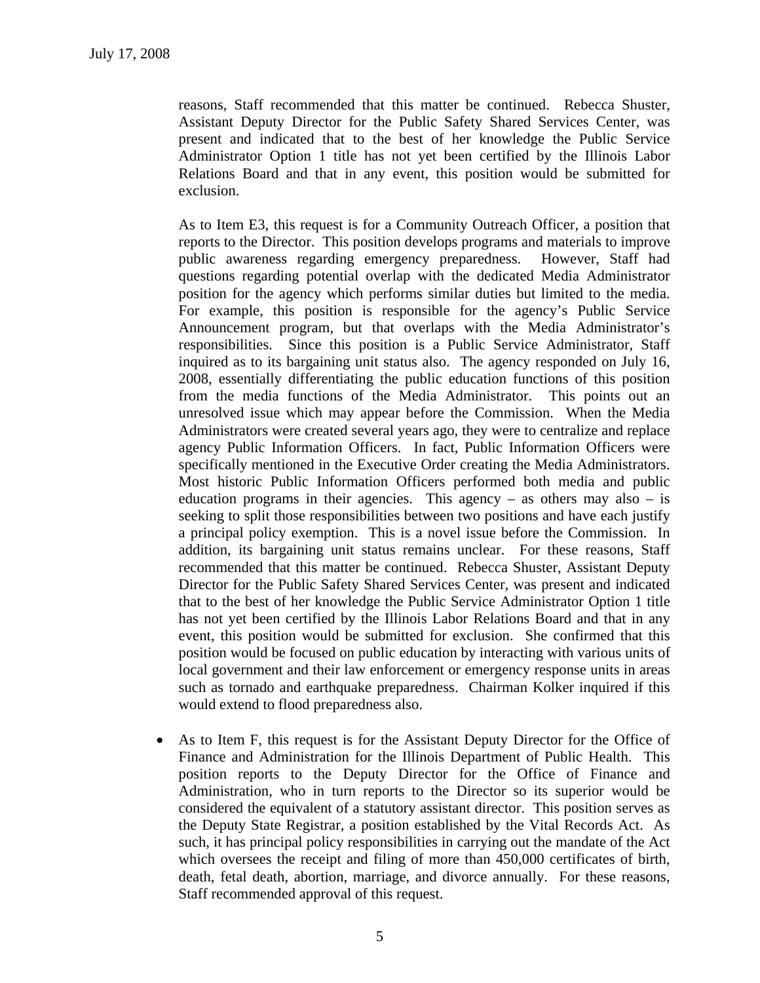reasons, Staff recommended that this matter be continued. Rebecca Shuster, Assistant Deputy Director for the Public Safety Shared Services Center, was present and indicated that to the best of her knowledge the Public Service Administrator Option 1 title has not yet been certified by the Illinois Labor Relations Board and that in any event, this position would be submitted for exclusion.

As to Item E3, this request is for a Community Outreach Officer, a position that reports to the Director. This position develops programs and materials to improve public awareness regarding emergency preparedness. However, Staff had questions regarding potential overlap with the dedicated Media Administrator position for the agency which performs similar duties but limited to the media. For example, this position is responsible for the agency's Public Service Announcement program, but that overlaps with the Media Administrator's responsibilities. Since this position is a Public Service Administrator, Staff inquired as to its bargaining unit status also. The agency responded on July 16, 2008, essentially differentiating the public education functions of this position from the media functions of the Media Administrator. This points out an unresolved issue which may appear before the Commission. When the Media Administrators were created several years ago, they were to centralize and replace agency Public Information Officers. In fact, Public Information Officers were specifically mentioned in the Executive Order creating the Media Administrators. Most historic Public Information Officers performed both media and public education programs in their agencies. This agency – as others may also – is seeking to split those responsibilities between two positions and have each justify a principal policy exemption. This is a novel issue before the Commission. In addition, its bargaining unit status remains unclear. For these reasons, Staff recommended that this matter be continued. Rebecca Shuster, Assistant Deputy Director for the Public Safety Shared Services Center, was present and indicated that to the best of her knowledge the Public Service Administrator Option 1 title has not yet been certified by the Illinois Labor Relations Board and that in any event, this position would be submitted for exclusion. She confirmed that this position would be focused on public education by interacting with various units of local government and their law enforcement or emergency response units in areas such as tornado and earthquake preparedness. Chairman Kolker inquired if this would extend to flood preparedness also.

• As to Item F, this request is for the Assistant Deputy Director for the Office of Finance and Administration for the Illinois Department of Public Health. This position reports to the Deputy Director for the Office of Finance and Administration, who in turn reports to the Director so its superior would be considered the equivalent of a statutory assistant director. This position serves as the Deputy State Registrar, a position established by the Vital Records Act. As such, it has principal policy responsibilities in carrying out the mandate of the Act which oversees the receipt and filing of more than 450,000 certificates of birth, death, fetal death, abortion, marriage, and divorce annually. For these reasons, Staff recommended approval of this request.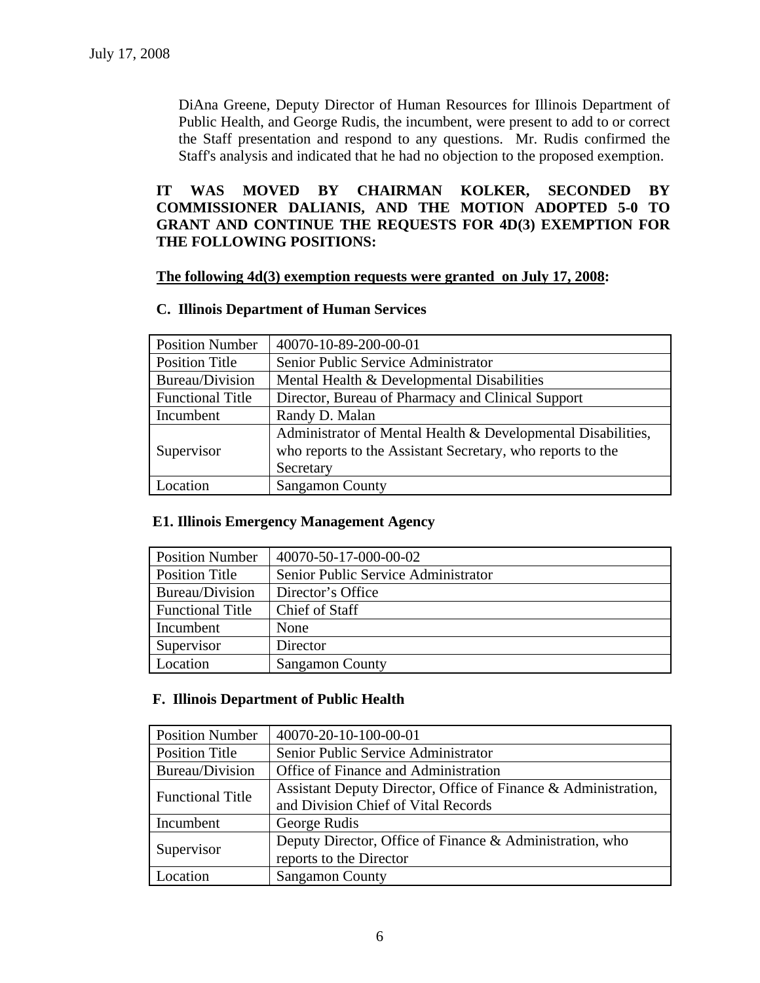DiAna Greene, Deputy Director of Human Resources for Illinois Department of Public Health, and George Rudis, the incumbent, were present to add to or correct the Staff presentation and respond to any questions. Mr. Rudis confirmed the Staff's analysis and indicated that he had no objection to the proposed exemption.

# **IT WAS MOVED BY CHAIRMAN KOLKER, SECONDED BY COMMISSIONER DALIANIS, AND THE MOTION ADOPTED 5-0 TO GRANT AND CONTINUE THE REQUESTS FOR 4D(3) EXEMPTION FOR THE FOLLOWING POSITIONS:**

#### **The following 4d(3) exemption requests were granted on July 17, 2008:**

#### **C. Illinois Department of Human Services**

| <b>Position Number</b>  | 40070-10-89-200-00-01                                        |  |
|-------------------------|--------------------------------------------------------------|--|
| <b>Position Title</b>   | Senior Public Service Administrator                          |  |
| Bureau/Division         | Mental Health & Developmental Disabilities                   |  |
| <b>Functional Title</b> | Director, Bureau of Pharmacy and Clinical Support            |  |
| Incumbent               | Randy D. Malan                                               |  |
|                         | Administrator of Mental Health & Developmental Disabilities, |  |
| Supervisor              | who reports to the Assistant Secretary, who reports to the   |  |
|                         | Secretary                                                    |  |
| Location                | <b>Sangamon County</b>                                       |  |

#### **E1. Illinois Emergency Management Agency**

| <b>Position Number</b>  | 40070-50-17-000-00-02               |
|-------------------------|-------------------------------------|
| <b>Position Title</b>   | Senior Public Service Administrator |
| Bureau/Division         | Director's Office                   |
| <b>Functional Title</b> | Chief of Staff                      |
| Incumbent               | None                                |
| Supervisor              | Director                            |
| Location                | <b>Sangamon County</b>              |

#### **F. Illinois Department of Public Health**

| <b>Position Number</b>  | 40070-20-10-100-00-01                                                                                 |  |
|-------------------------|-------------------------------------------------------------------------------------------------------|--|
| <b>Position Title</b>   | Senior Public Service Administrator                                                                   |  |
| Bureau/Division         | Office of Finance and Administration                                                                  |  |
| <b>Functional Title</b> | Assistant Deputy Director, Office of Finance & Administration,<br>and Division Chief of Vital Records |  |
| Incumbent               | George Rudis                                                                                          |  |
| Supervisor              | Deputy Director, Office of Finance & Administration, who<br>reports to the Director                   |  |
| <b>Location</b>         | <b>Sangamon County</b>                                                                                |  |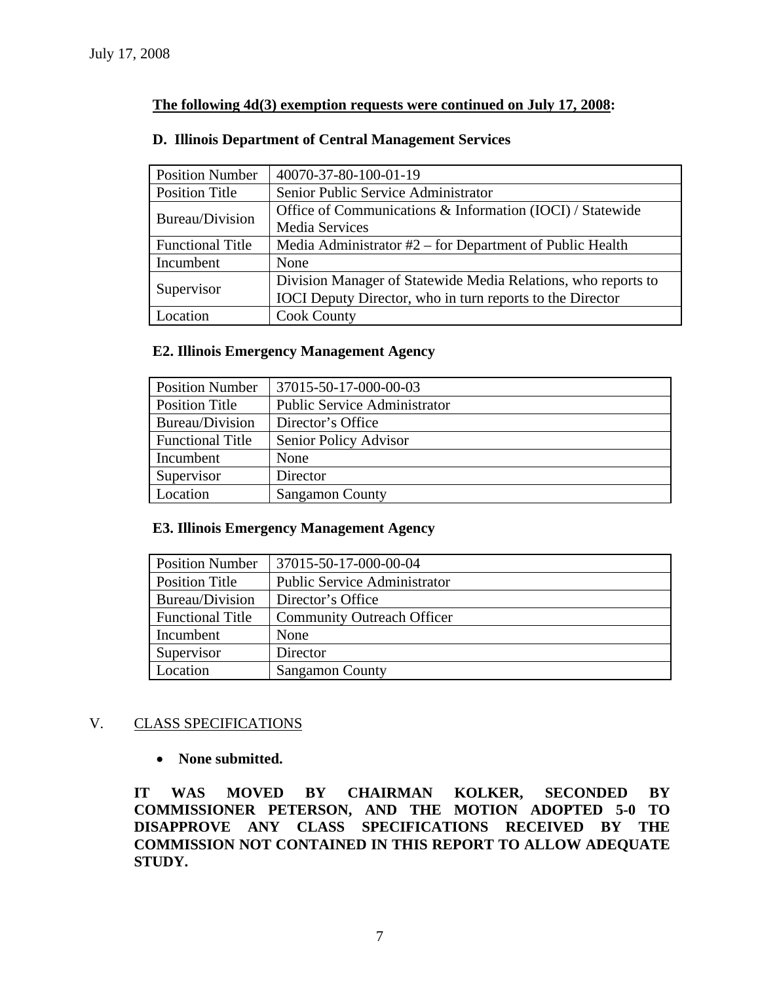# **The following 4d(3) exemption requests were continued on July 17, 2008:**

#### **D. Illinois Department of Central Management Services**

| <b>Position Number</b>  | 40070-37-80-100-01-19                                         |  |  |
|-------------------------|---------------------------------------------------------------|--|--|
| <b>Position Title</b>   | Senior Public Service Administrator                           |  |  |
| Bureau/Division         | Office of Communications & Information (IOCI) / Statewide     |  |  |
|                         | <b>Media Services</b>                                         |  |  |
| <b>Functional Title</b> | Media Administrator $#2$ – for Department of Public Health    |  |  |
| Incumbent               | None                                                          |  |  |
|                         | Division Manager of Statewide Media Relations, who reports to |  |  |
| Supervisor              | IOCI Deputy Director, who in turn reports to the Director     |  |  |
| Location                | <b>Cook County</b>                                            |  |  |

#### **E2. Illinois Emergency Management Agency**

| <b>Position Number</b>  | 37015-50-17-000-00-03               |
|-------------------------|-------------------------------------|
| <b>Position Title</b>   | <b>Public Service Administrator</b> |
| Bureau/Division         | Director's Office                   |
| <b>Functional Title</b> | Senior Policy Advisor               |
| Incumbent               | None                                |
| Supervisor              | Director                            |
| Location                | <b>Sangamon County</b>              |

#### **E3. Illinois Emergency Management Agency**

| <b>Position Number</b>  | 37015-50-17-000-00-04               |  |
|-------------------------|-------------------------------------|--|
| <b>Position Title</b>   | <b>Public Service Administrator</b> |  |
| Bureau/Division         | Director's Office                   |  |
| <b>Functional Title</b> | <b>Community Outreach Officer</b>   |  |
| Incumbent               | None                                |  |
| Supervisor              | Director                            |  |
| Location                | <b>Sangamon County</b>              |  |

# V. CLASS SPECIFICATIONS

#### • **None submitted.**

**IT WAS MOVED BY CHAIRMAN KOLKER, SECONDED BY COMMISSIONER PETERSON, AND THE MOTION ADOPTED 5-0 TO DISAPPROVE ANY CLASS SPECIFICATIONS RECEIVED BY THE COMMISSION NOT CONTAINED IN THIS REPORT TO ALLOW ADEQUATE STUDY.**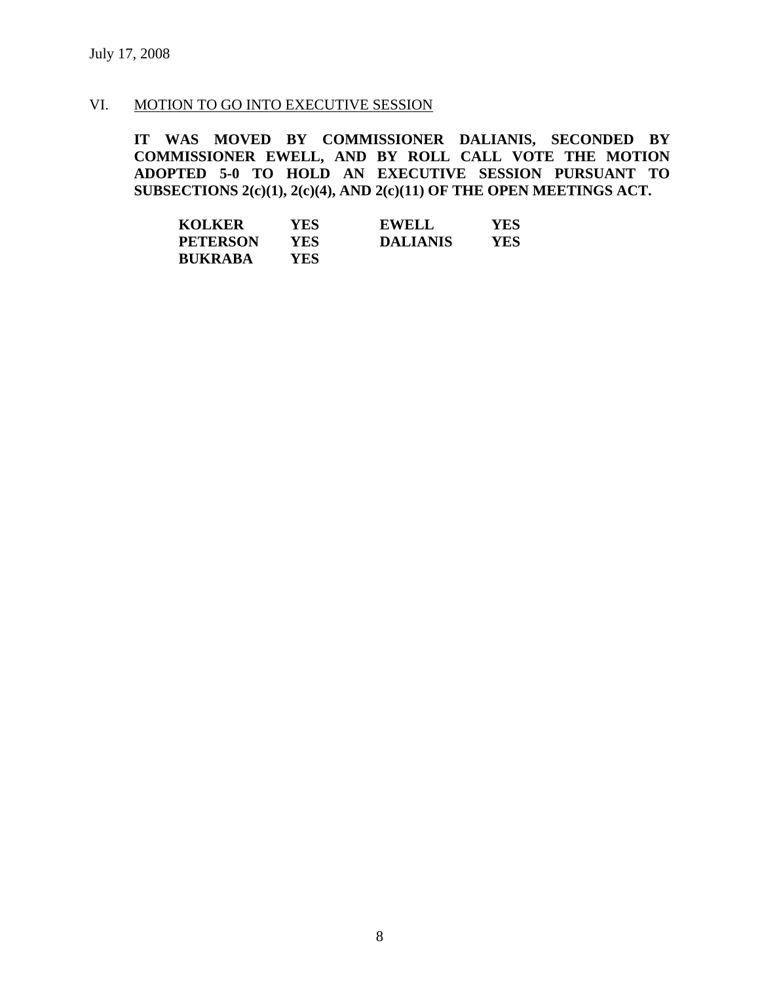#### VI. MOTION TO GO INTO EXECUTIVE SESSION

**IT WAS MOVED BY COMMISSIONER DALIANIS, SECONDED BY COMMISSIONER EWELL, AND BY ROLL CALL VOTE THE MOTION ADOPTED 5-0 TO HOLD AN EXECUTIVE SESSION PURSUANT TO SUBSECTIONS 2(c)(1), 2(c)(4), AND 2(c)(11) OF THE OPEN MEETINGS ACT.** 

| <b>KOLKER</b>   | YES | <b>EWELL</b>    | YES |
|-----------------|-----|-----------------|-----|
| <b>PETERSON</b> | YES | <b>DALIANIS</b> | YES |
| <b>BUKRABA</b>  | YES |                 |     |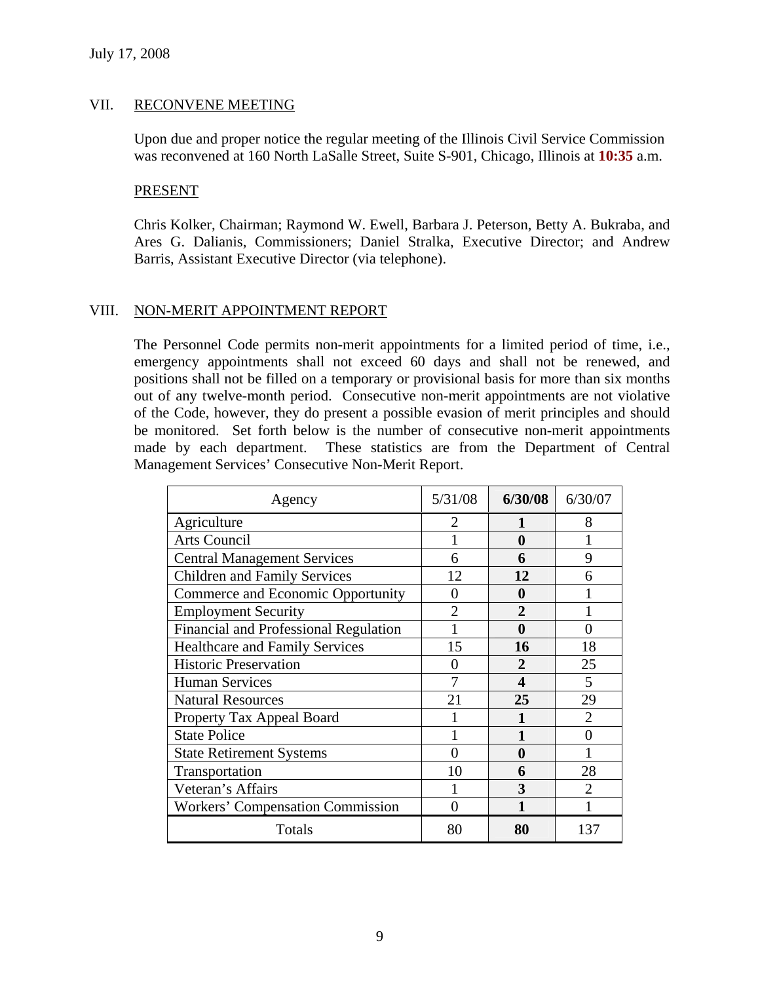# VII. RECONVENE MEETING

Upon due and proper notice the regular meeting of the Illinois Civil Service Commission was reconvened at 160 North LaSalle Street, Suite S-901, Chicago, Illinois at **10:35** a.m.

#### PRESENT

Chris Kolker, Chairman; Raymond W. Ewell, Barbara J. Peterson, Betty A. Bukraba, and Ares G. Dalianis, Commissioners; Daniel Stralka, Executive Director; and Andrew Barris, Assistant Executive Director (via telephone).

# VIII. NON-MERIT APPOINTMENT REPORT

The Personnel Code permits non-merit appointments for a limited period of time, i.e., emergency appointments shall not exceed 60 days and shall not be renewed, and positions shall not be filled on a temporary or provisional basis for more than six months out of any twelve-month period. Consecutive non-merit appointments are not violative of the Code, however, they do present a possible evasion of merit principles and should be monitored. Set forth below is the number of consecutive non-merit appointments made by each department. These statistics are from the Department of Central Management Services' Consecutive Non-Merit Report.

| Agency                                   | 5/31/08        | 6/30/08     | 6/30/07        |
|------------------------------------------|----------------|-------------|----------------|
| Agriculture                              | 2              | 1           | 8              |
| <b>Arts Council</b>                      |                | 0           |                |
| <b>Central Management Services</b>       | 6              | 6           | 9              |
| <b>Children and Family Services</b>      | 12             | 12          | 6              |
| <b>Commerce and Economic Opportunity</b> | 0              | 0           |                |
| <b>Employment Security</b>               | $\overline{2}$ | $\mathbf 2$ |                |
| Financial and Professional Regulation    |                | 0           | 0              |
| <b>Healthcare and Family Services</b>    | 15             | 16          | 18             |
| <b>Historic Preservation</b>             | 0              | 2           | 25             |
| <b>Human Services</b>                    | 7              | 4           | 5              |
| <b>Natural Resources</b>                 | 21             | 25          | 29             |
| Property Tax Appeal Board                |                |             | 2              |
| <b>State Police</b>                      |                |             | 0              |
| <b>State Retirement Systems</b>          | 0              | 0           |                |
| Transportation                           | 10             | 6           | 28             |
| Veteran's Affairs                        |                | 3           | $\mathfrak{D}$ |
| <b>Workers' Compensation Commission</b>  | 0              |             |                |
| Totals                                   | 80             | 80          | 137            |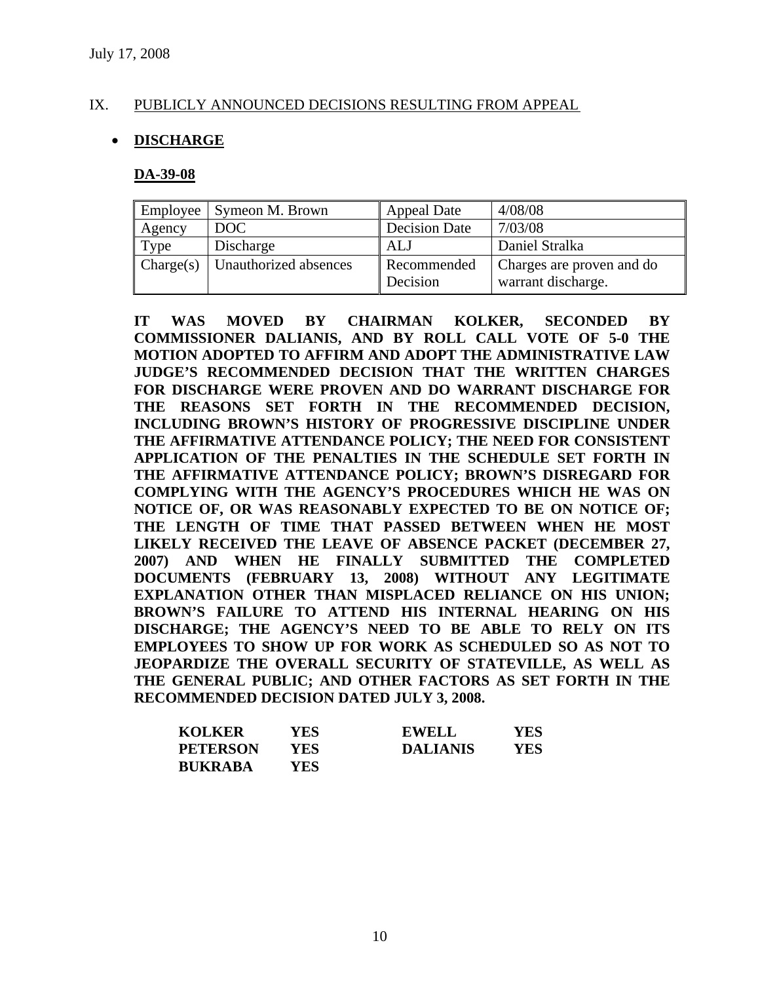# IX. PUBLICLY ANNOUNCED DECISIONS RESULTING FROM APPEAL

# • **DISCHARGE**

#### **DA-39-08**

|           | Employee   Symeon M. Brown | Appeal Date             | 4/08/08                                         |
|-----------|----------------------------|-------------------------|-------------------------------------------------|
| Agency    | DOC                        | Decision Date           | 7/03/08                                         |
| Type      | Discharge                  | ALJ                     | Daniel Stralka                                  |
| Change(s) | Unauthorized absences      | Recommended<br>Decision | Charges are proven and do<br>warrant discharge. |

**IT WAS MOVED BY CHAIRMAN KOLKER, SECONDED BY COMMISSIONER DALIANIS, AND BY ROLL CALL VOTE OF 5-0 THE MOTION ADOPTED TO AFFIRM AND ADOPT THE ADMINISTRATIVE LAW JUDGE'S RECOMMENDED DECISION THAT THE WRITTEN CHARGES FOR DISCHARGE WERE PROVEN AND DO WARRANT DISCHARGE FOR THE REASONS SET FORTH IN THE RECOMMENDED DECISION, INCLUDING BROWN'S HISTORY OF PROGRESSIVE DISCIPLINE UNDER THE AFFIRMATIVE ATTENDANCE POLICY; THE NEED FOR CONSISTENT APPLICATION OF THE PENALTIES IN THE SCHEDULE SET FORTH IN THE AFFIRMATIVE ATTENDANCE POLICY; BROWN'S DISREGARD FOR COMPLYING WITH THE AGENCY'S PROCEDURES WHICH HE WAS ON NOTICE OF, OR WAS REASONABLY EXPECTED TO BE ON NOTICE OF; THE LENGTH OF TIME THAT PASSED BETWEEN WHEN HE MOST LIKELY RECEIVED THE LEAVE OF ABSENCE PACKET (DECEMBER 27, 2007) AND WHEN HE FINALLY SUBMITTED THE COMPLETED DOCUMENTS (FEBRUARY 13, 2008) WITHOUT ANY LEGITIMATE EXPLANATION OTHER THAN MISPLACED RELIANCE ON HIS UNION; BROWN'S FAILURE TO ATTEND HIS INTERNAL HEARING ON HIS DISCHARGE; THE AGENCY'S NEED TO BE ABLE TO RELY ON ITS EMPLOYEES TO SHOW UP FOR WORK AS SCHEDULED SO AS NOT TO JEOPARDIZE THE OVERALL SECURITY OF STATEVILLE, AS WELL AS THE GENERAL PUBLIC; AND OTHER FACTORS AS SET FORTH IN THE RECOMMENDED DECISION DATED JULY 3, 2008.** 

| <b>KOLKER</b>   | YES  | <b>EWELL</b>    | YES |
|-----------------|------|-----------------|-----|
| <b>PETERSON</b> | YES  | <b>DALIANIS</b> | YES |
| <b>BUKRABA</b>  | YES. |                 |     |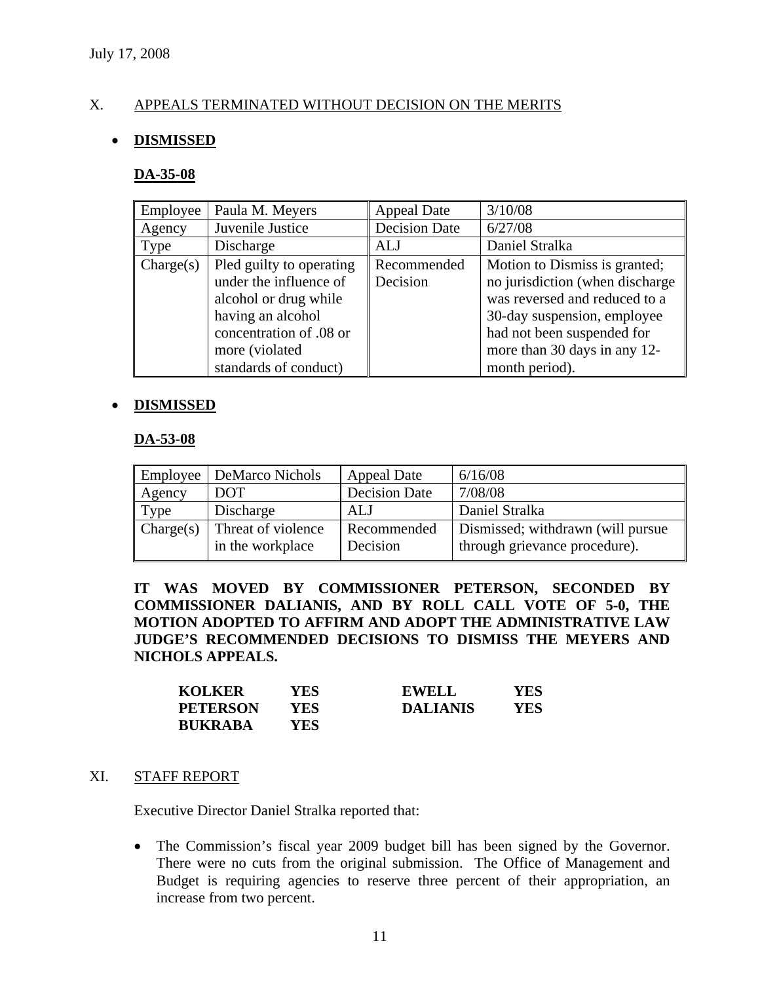# X. APPEALS TERMINATED WITHOUT DECISION ON THE MERITS

#### • **DISMISSED**

#### **DA-35-08**

| Employee  | Paula M. Meyers          | <b>Appeal Date</b>   | 3/10/08                         |
|-----------|--------------------------|----------------------|---------------------------------|
| Agency    | Juvenile Justice         | <b>Decision Date</b> | 6/27/08                         |
| Type      | Discharge                | <b>ALJ</b>           | Daniel Stralka                  |
| Change(s) | Pled guilty to operating | Recommended          | Motion to Dismiss is granted;   |
|           | under the influence of   | Decision             | no jurisdiction (when discharge |
|           | alcohol or drug while    |                      | was reversed and reduced to a   |
|           | having an alcohol        |                      | 30-day suspension, employee     |
|           | concentration of .08 or  |                      | had not been suspended for      |
|           | more (violated           |                      | more than 30 days in any 12-    |
|           | standards of conduct)    |                      | month period).                  |

#### • **DISMISSED**

#### **DA-53-08**

| Employee  | <b>DeMarco Nichols</b>                 | <b>Appeal Date</b>      | 6/16/08                                                            |
|-----------|----------------------------------------|-------------------------|--------------------------------------------------------------------|
| Agency    | <b>DOT</b>                             | <b>Decision Date</b>    | 7/08/08                                                            |
| Type      | Discharge                              | ALJ                     | Daniel Stralka                                                     |
| Change(s) | Threat of violence<br>in the workplace | Recommended<br>Decision | Dismissed; withdrawn (will pursue<br>through grievance procedure). |

**IT WAS MOVED BY COMMISSIONER PETERSON, SECONDED BY COMMISSIONER DALIANIS, AND BY ROLL CALL VOTE OF 5-0, THE MOTION ADOPTED TO AFFIRM AND ADOPT THE ADMINISTRATIVE LAW JUDGE'S RECOMMENDED DECISIONS TO DISMISS THE MEYERS AND NICHOLS APPEALS.** 

| <b>KOLKER</b>   | YES | <b>EWELL</b>    | YES |
|-----------------|-----|-----------------|-----|
| <b>PETERSON</b> | YES | <b>DALIANIS</b> | YES |
| <b>BUKRABA</b>  | YES |                 |     |

#### XI. STAFF REPORT

Executive Director Daniel Stralka reported that:

• The Commission's fiscal year 2009 budget bill has been signed by the Governor. There were no cuts from the original submission. The Office of Management and Budget is requiring agencies to reserve three percent of their appropriation, an increase from two percent.